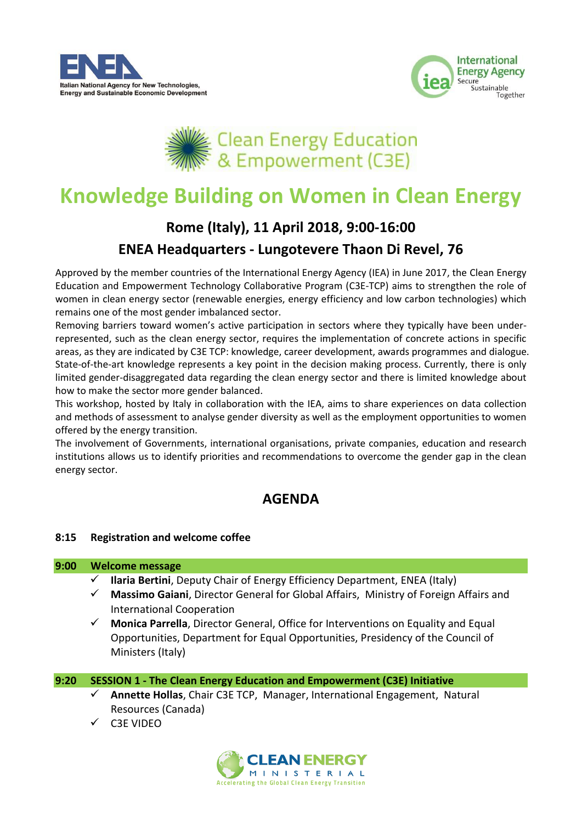





## **Knowledge Building on Women in Clean Energy**

# **Rome (Italy), 11 April 2018, 9:00-16:00**

### **ENEA Headquarters - Lungotevere Thaon Di Revel, 76**

Approved by the member countries of the International Energy Agency (IEA) in June 2017, the Clean Energy Education and Empowerment Technology Collaborative Program (C3E-TCP) aims to strengthen the role of women in clean energy sector (renewable energies, energy efficiency and low carbon technologies) which remains one of the most gender imbalanced sector.

Removing barriers toward women's active participation in sectors where they typically have been underrepresented, such as the clean energy sector, requires the implementation of concrete actions in specific areas, as they are indicated by C3E TCP: knowledge, career development, awards programmes and dialogue. State-of-the-art knowledge represents a key point in the decision making process. Currently, there is only limited gender-disaggregated data regarding the clean energy sector and there is limited knowledge about how to make the sector more gender balanced.

This workshop, hosted by Italy in collaboration with the IEA, aims to share experiences on data collection and methods of assessment to analyse gender diversity as well as the employment opportunities to women offered by the energy transition.

The involvement of Governments, international organisations, private companies, education and research institutions allows us to identify priorities and recommendations to overcome the gender gap in the clean energy sector.

## **AGENDA**

#### **8:15 Registration and welcome coffee**

#### **9:00 Welcome message**

- **Ilaria Bertini**, Deputy Chair of Energy Efficiency Department, ENEA (Italy)
- **Massimo Gaiani**, Director General for Global Affairs, Ministry of Foreign Affairs and International Cooperation
- **Monica Parrella**, Director General, Office for Interventions on Equality and Equal Opportunities, Department for Equal Opportunities, Presidency of the Council of Ministers (Italy)

#### **9:20 SESSION 1 - The Clean Energy Education and Empowerment (C3E) Initiative**

- **Annette Hollas**, Chair C3E TCP, Manager, International Engagement, Natural Resources (Canada)
- C3E VIDEO

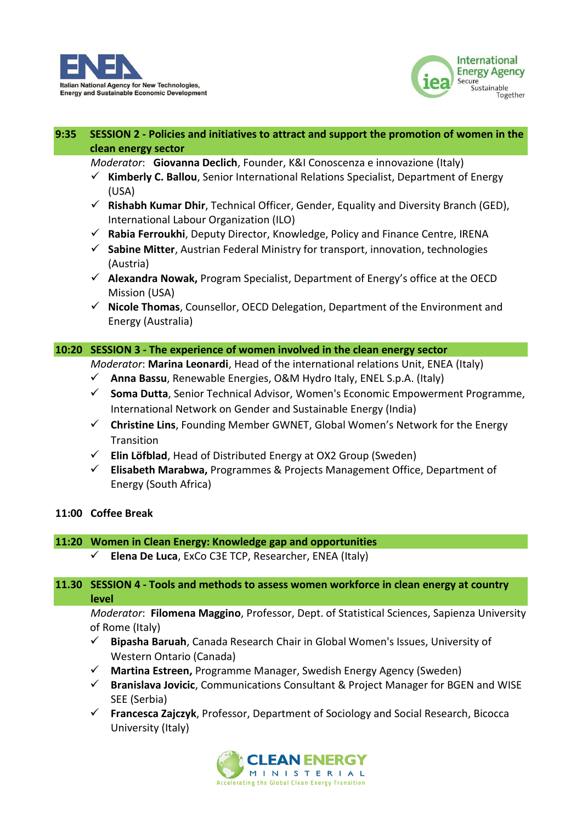



#### **9:35 SESSION 2 - Policies and initiatives to attract and support the promotion of women in the clean energy sector**

*Moderator*: **Giovanna Declich**, Founder, K&I Conoscenza e innovazione (Italy)

- $\checkmark$  **Kimberly C. Ballou**, Senior International Relations Specialist, Department of Energy (USA)
- **Rishabh Kumar Dhir**, Technical Officer, Gender, Equality and Diversity Branch (GED), International Labour Organization (ILO)
- **Rabia Ferroukhi**, Deputy Director, Knowledge, Policy and Finance Centre, IRENA
- **Sabine Mitter**, Austrian Federal Ministry for transport, innovation, technologies (Austria)
- **Alexandra Nowak,** Program Specialist, Department of Energy's office at the OECD Mission (USA)
- **Nicole Thomas**, Counsellor, OECD Delegation, Department of the Environment and Energy (Australia)

#### **10:20 SESSION 3 - The experience of women involved in the clean energy sector**

*Moderator*: **Marina Leonardi**, Head of the international relations Unit, ENEA (Italy)

- **Anna Bassu**, Renewable Energies, O&M Hydro Italy, ENEL S.p.A. (Italy)
- **Soma Dutta**, Senior Technical Advisor, Women's Economic Empowerment Programme, International Network on Gender and Sustainable Energy (India)
- **Christine Lins**, Founding Member GWNET, Global Women's Network for the Energy Transition
- **Elin Löfblad**, Head of Distributed Energy at OX2 Group (Sweden)
- **Elisabeth Marabwa,** Programmes & Projects Management Office, Department of Energy (South Africa)

#### **11:00 Coffee Break**

#### **11:20 Women in Clean Energy: Knowledge gap and opportunities**

**Elena De Luca**, ExCo C3E TCP, Researcher, ENEA (Italy)

#### **11.30 SESSION 4 - Tools and methods to assess women workforce in clean energy at country level**

*Moderator*: **Filomena Maggino**, Professor, Dept. of Statistical Sciences, Sapienza University of Rome (Italy)

- **Bipasha Baruah**, Canada Research Chair in Global Women's Issues, University of Western Ontario (Canada)
- **Martina Estreen,** Programme Manager, Swedish Energy Agency (Sweden)
- **Branislava Jovicic**, Communications Consultant & Project Manager for BGEN and WISE SEE (Serbia)
- **Francesca Zajczyk**, Professor, Department of Sociology and Social Research, Bicocca University (Italy)